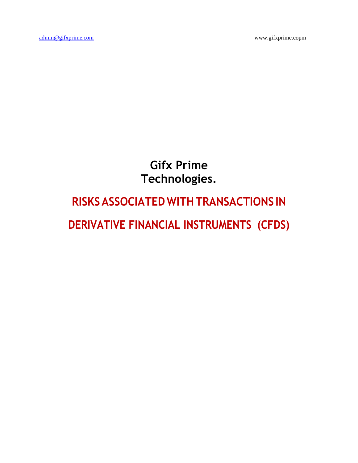**Gifx Prime Technologies.**

# **RISKSASSOCIATEDWITHTRANSACTIONS IN**

**DERIVATIVE FINANCIAL INSTRUMENTS (CFDS)**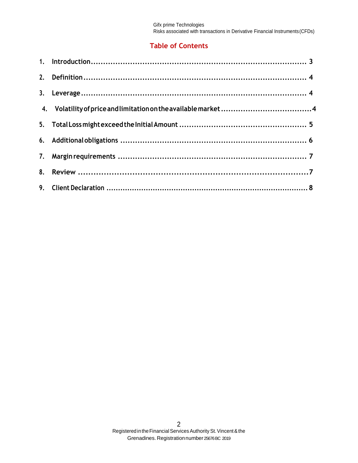# **Table of Contents**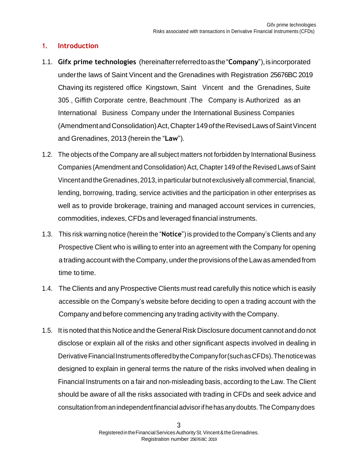## <span id="page-2-0"></span>**1. Introduction**

- 1.1. **Gifx prime technologies** (hereinafterreferredtoasthe"**Company**"),isincorporated underthe laws of Saint Vincent and the Grenadines with Registration 25676BC 2019 Chaving its registered office Kingstown, Saint Vincent and the Grenadines, Suite 305 , Giffith Corporate centre, Beachmount .The Company is Authorized as an International Business Company under the International Business Companies (AmendmentandConsolidation)Act,Chapter149oftheRevisedLawsofSaintVincent and Grenadines, 2013 (herein the "**Law**").
- 1.2. The objects of the Company are all subject matters not forbidden by International Business Companies (Amendment and Consolidation) Act, Chapter 149 of the Revised Laws of Saint VincentandtheGrenadines, 2013,in particular but not exclusively all commercial, financial, lending, borrowing, trading, service activities and the participation in other enterprises as well as to provide brokerage, training and managed account services in currencies, commodities, indexes, CFDs and leveraged financial instruments.
- 1.3. This risk warning notice (herein the "**Notice**") is provided to the Company's Clients and any Prospective Client who is willing to enter into an agreement with the Company for opening a trading account with the Company, undertheprovisions of the Law as amended from time to time.
- 1.4. The Clients and any Prospective Clients must read carefully this notice which is easily accessible on the Company's website before deciding to open a trading account with the Company and before commencing any trading activity with the Company.
- 1.5. It is noted that thisNotice and theGeneralRiskDisclosure document cannot anddonot disclose or explain all of the risks and other significant aspects involved in dealing in Derivative Financial Instruments offered by the Company for (such as CFDs). The notice was designed to explain in general terms the nature of the risks involved when dealing in Financial Instruments on a fair and non-misleading basis, according to the Law. The Client should be aware of all the risks associated with trading in CFDs and seek advice and consultationfromanindependentfinancial advisorifhehasanydoubts.TheCompanydoes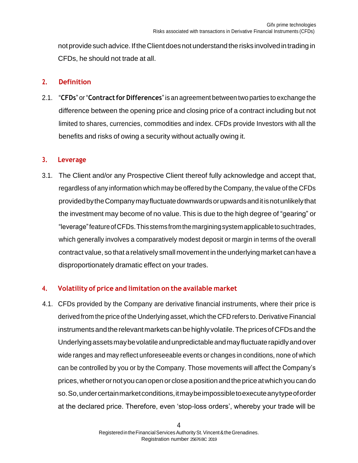not provide such advice. If the Client does not understand the risks involved in trading in CFDs, he should not trade at all.

#### <span id="page-3-0"></span>**2. Definition**

2.1. "**CFDs**" or"**Contractfor Differences**"is an agreement between two parties to exchange the difference between the opening price and closing price of a contract including but not limited to shares, currencies, commodities and index. CFDs provide Investors with all the benefits and risks of owing a security without actually owing it.

#### <span id="page-3-1"></span>**3. Leverage**

3.1. The Client and/or any Prospective Client thereof fully acknowledge and accept that, regardless of any information which may be offered by the Company, the value of the CFDs providedbytheCompanymayfluctuatedownwardsorupwardsanditisnotunlikelythat the investment may become of no value. This is due to the high degree of "gearing" or "leverage"featureofCFDs.Thisstemsfromthemarginingsystemapplicabletosuchtrades, which generally involves a comparatively modest deposit or margin in terms of the overall contract value, so that arelatively smallmovement in the underlying market can have a disproportionately dramatic effect on your trades.

## <span id="page-3-2"></span>**4. Volatility of price and limitation on the available market**

4.1. CFDs provided by the Company are derivative financial instruments, where their price is derived from the price of the Underlying asset, which the CFD refers to. Derivative Financial instruments and the relevant markets can be highly volatile. The prices of CFDs and the Underlyingassetsmaybevolatileandunpredictableandmayfluctuaterapidlyandover wide ranges and may reflect unforeseeable events or changes in conditions, none of which can be controlled by you or by the Company. Those movements will affect the Company's prices,whetherornot youcanopenor closeapositionandthepriceatwhichyoucando so.So,undercertainmarketconditions,itmaybeimpossibletoexecuteanytypeoforder at the declared price. Therefore, even 'stop-loss orders', whereby your trade will be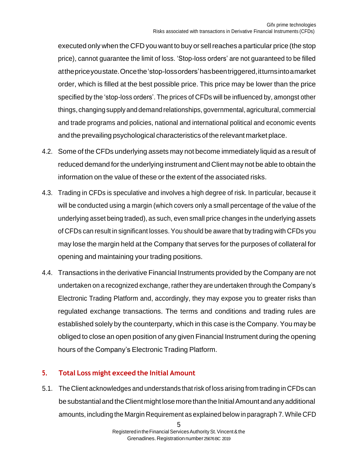executed only when the CFD you want to buy or sellreaches a particular price (the stop price), cannot guarantee the limit of loss. 'Stop-loss orders' are not guaranteed to be filled atthepriceyoustate.Oncethe'stop-lossorders'hasbeentriggered,itturnsintoamarket order, which is filled at the best possible price. This price may be lower than the price specified by the 'stop-loss orders'. The prices of CFDs will be influenced by, amongst other things, changingsupply and demand relationships, governmental, agricultural, commercial and trade programs and policies, national and international political and economic events and the prevailing psychological characteristics of the relevant market place.

- 4.2. Some of the CFDs underlying assets may not become immediately liquid as a result of reduced demand forthe underlying instrument and Client may not be able to obtain the information on the value of these or the extent of the associated risks.
- 4.3. Trading in CFDs is speculative and involves a high degree of risk. In particular, because it will be conducted using a margin (which covers only a small percentage of the value of the underlying asset being traded), as such, even small price changes in the underlying assets of CFDs can result in significant losses. You should be aware that by trading with CFDs you may lose the margin held at the Company that serves for the purposes of collateral for opening and maintaining your trading positions.
- 4.4. Transactions in the derivative Financial Instruments provided by the Company are not undertaken on a recognized exchange, rather they are undertaken through the Company's Electronic Trading Platform and, accordingly, they may expose you to greater risks than regulated exchange transactions. The terms and conditions and trading rules are established solely by the counterparty, which in this case is the Company. You may be obliged to close an open position of any given Financial Instrument during the opening hours of the Company's Electronic Trading Platform.

## <span id="page-4-0"></span>**5. Total Loss might exceed the Initial Amount**

5.1. The Client acknowledges and understands that risk of loss arising from trading in CFDs can be substantial and the Client might lose more than the Initial Amount and any additional amounts, including the Margin Requirement as explained below in paragraph 7. While CFD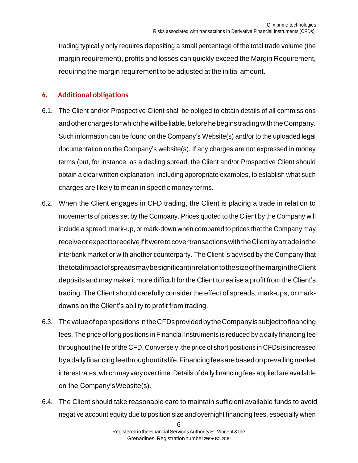trading typically only requires depositing a small percentage of the total trade volume (the margin requirement), profits and losses can quickly exceed the Margin Requirement, requiring the margin requirement to be adjusted at the initial amount.

## <span id="page-5-0"></span>**6. Additional obligations**

- 6.1. The Client and/or Prospective Client shall be obliged to obtain details of all commissions andotherchargesforwhichhewillbeliable,beforehebeginstradingwiththeCompany. Such information can be found on the Company's Website(s) and/or to the uploaded legal documentation on the Company's website(s). If any charges are not expressed in money terms (but, for instance, as a dealing spread, the Client and/or Prospective Client should obtain a clear written explanation, including appropriate examples, to establish what such charges are likely to mean in specific money terms.
- 6.2. When the Client engages in CFD trading, the Client is placing a trade in relation to movements of prices set by the Company. Prices quoted to the Client by the Company will include a spread, mark-up, or mark-down when compared to prices that the Company may receiveorexpecttoreceiveifitweretocovertransactionswiththeClientbyatradeinthe interbank market or with another counterparty. The Client is advised by the Company that thetotalimpactofspreadsmaybesignificantinrelationtothesizeofthemargintheClient deposits and may make it more difficult for the Client to realise a profit from the Client's trading. The Client should carefully consider the effect of spreads, mark-ups, or markdowns on the Client's ability to profit from trading.
- 6.3. ThevalueofopenpositionsintheCFDsprovidedbytheCompanyissubjecttofinancing fees. The price of long positions in Financial Instruments is reduced by a daily financing fee throughout the life of the CFD. Conversely, the price of short positions in CFDs is increased byadailyfinancingfeethroughoutitslife.Financingfeesarebasedonprevailingmarket interestrates, which may vary overtime. Details of daily financing fees applied are available on the Company'sWebsite(s).
- 6.4. The Client should take reasonable care to maintain sufficient available funds to avoid negative account equity due to position size and overnight financing fees, especially when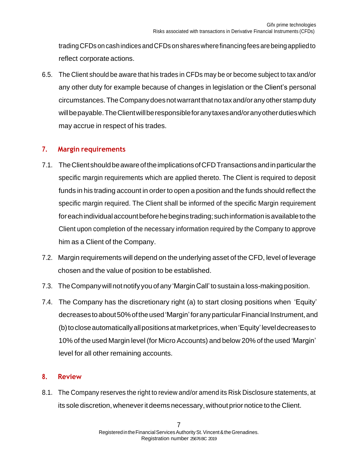tradingCFDs oncashindices andCFDsonshareswherefinancingfeesarebeingappliedto reflect corporate actions.

6.5. The Client should be aware that his trades in CFDs may be or become subject to tax and/or any other duty for example because of changes in legislation or the Client's personal circumstances.TheCompanydoesnotwarrantthatnotaxand/oranyother stampduty willbepayable.TheClientwillberesponsibleforanytaxesand/oranyotherdutieswhich may accrue in respect of his trades.

## <span id="page-6-0"></span>**7. Margin requirements**

- 7.1. TheClientshouldbeawareoftheimplicationsofCFDTransactionsandinparticularthe specific margin requirements which are applied thereto. The Client is required to deposit funds in his trading account in order to open a position and the funds should reflect the specific margin required. The Client shall be informed of the specific Margin requirement for each individual account before he begins trading; such information is available to the Client upon completion of the necessary information required by the Company to approve him as a Client of the Company.
- 7.2. Margin requirements will depend on the underlying asset of the CFD, level of leverage chosen and the value of position to be established.
- 7.3. The Company will not notify you of any 'Margin Call' to sustain a loss-making position.
- 7.4. The Company has the discretionary right (a) to start closing positions when 'Equity' decreases to about 50% of the used 'Margin' for any particular Financial Instrument, and (b)tocloseautomaticallyallpositionsatmarketprices,when'Equity' leveldecreasesto 10% of the used Margin level (for Micro Accounts) and below 20% of the used 'Margin' level for all other remaining accounts.

## <span id="page-6-1"></span>**8. Review**

8.1. The Company reserves the right to review and/or amend its Risk Disclosure statements, at its sole discretion, wheneverit deems necessary,without prior notice to the Client.